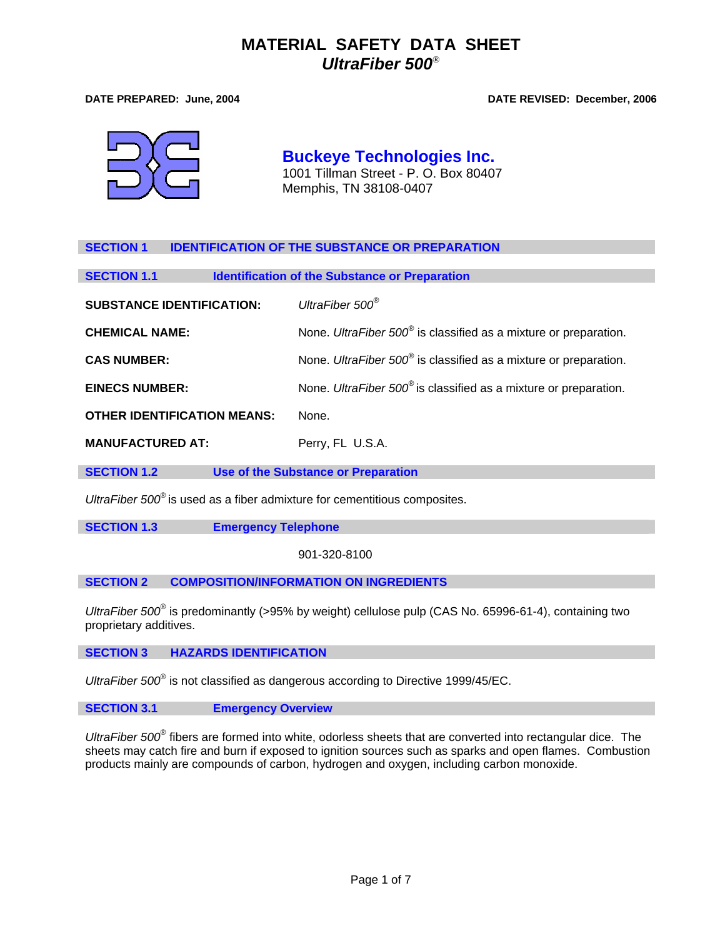**DATE PREPARED: June, 2004 DATE REVISED: December, 2006** 



**Buckeye Technologies Inc.** 1001 Tillman Street - P. O. Box 80407 Memphis, TN 38108-0407

# **SECTION 1 IDENTIFICATION OF THE SUBSTANCE OR PREPARATION**

| <b>Identification of the Substance or Preparation</b><br><b>SECTION 1.1</b> |                                                                              |  |
|-----------------------------------------------------------------------------|------------------------------------------------------------------------------|--|
| <b>SUBSTANCE IDENTIFICATION:</b>                                            | UltraFiber 500 <sup>®</sup>                                                  |  |
| <b>CHEMICAL NAME:</b>                                                       | None. UltraFiber 500 <sup>®</sup> is classified as a mixture or preparation. |  |
| <b>CAS NUMBER:</b>                                                          | None. UltraFiber 500 <sup>®</sup> is classified as a mixture or preparation. |  |
| <b>EINECS NUMBER:</b>                                                       | None. UltraFiber $500^\circ$ is classified as a mixture or preparation.      |  |
| <b>OTHER IDENTIFICATION MEANS:</b>                                          | None.                                                                        |  |
| <b>MANUFACTURED AT:</b>                                                     | Perry, FL U.S.A.                                                             |  |

**SECTION 1.2** Use of the Substance or Preparation

*UltraFiber 500*® is used as a fiber admixture for cementitious composites.

**SECTION 1.3 Emergency Telephone** 

901-320-8100

## **SECTION 2 COMPOSITION/INFORMATION ON INGREDIENTS**

UltraFiber 500<sup>®</sup> is predominantly (>95% by weight) cellulose pulp (CAS No. 65996-61-4), containing two proprietary additives.

**SECTION 3 HAZARDS IDENTIFICATION**

*UltraFiber 500*® is not classified as dangerous according to Directive 1999/45/EC.

## **SECTION 3.1 Emergency Overview**

UltraFiber 500<sup>®</sup> fibers are formed into white, odorless sheets that are converted into rectangular dice. The sheets may catch fire and burn if exposed to ignition sources such as sparks and open flames. Combustion products mainly are compounds of carbon, hydrogen and oxygen, including carbon monoxide.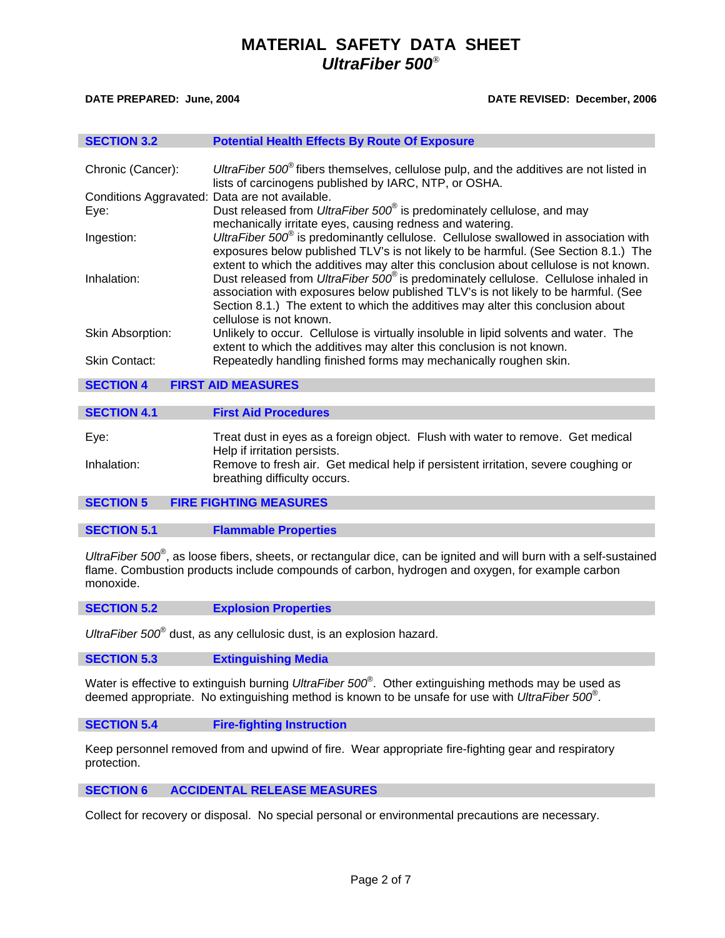ı

ı

I

### **DATE PREPARED: June, 2004 DATE REVISED: December, 2006**

| <b>SECTION 3.2</b>   | <b>Potential Health Effects By Route Of Exposure</b>                                                                                                                                                                                                                                                                                                                                                                                                                                                                                                                                                                                                                                                                                        |  |  |  |
|----------------------|---------------------------------------------------------------------------------------------------------------------------------------------------------------------------------------------------------------------------------------------------------------------------------------------------------------------------------------------------------------------------------------------------------------------------------------------------------------------------------------------------------------------------------------------------------------------------------------------------------------------------------------------------------------------------------------------------------------------------------------------|--|--|--|
|                      |                                                                                                                                                                                                                                                                                                                                                                                                                                                                                                                                                                                                                                                                                                                                             |  |  |  |
| Chronic (Cancer):    | UltraFiber 500 <sup>®</sup> fibers themselves, cellulose pulp, and the additives are not listed in<br>lists of carcinogens published by IARC, NTP, or OSHA.                                                                                                                                                                                                                                                                                                                                                                                                                                                                                                                                                                                 |  |  |  |
|                      | Conditions Aggravated: Data are not available.                                                                                                                                                                                                                                                                                                                                                                                                                                                                                                                                                                                                                                                                                              |  |  |  |
| Eye:                 | Dust released from <i>UltraFiber 500</i> <sup>®</sup> is predominately cellulose, and may<br>mechanically irritate eyes, causing redness and watering.<br>UltraFiber $500^\circ$ is predominantly cellulose. Cellulose swallowed in association with<br>exposures below published TLV's is not likely to be harmful. (See Section 8.1.) The<br>extent to which the additives may alter this conclusion about cellulose is not known.<br>Dust released from UltraFiber 500 <sup>®</sup> is predominately cellulose. Cellulose inhaled in<br>association with exposures below published TLV's is not likely to be harmful. (See<br>Section 8.1.) The extent to which the additives may alter this conclusion about<br>cellulose is not known. |  |  |  |
| Ingestion:           |                                                                                                                                                                                                                                                                                                                                                                                                                                                                                                                                                                                                                                                                                                                                             |  |  |  |
| Inhalation:          |                                                                                                                                                                                                                                                                                                                                                                                                                                                                                                                                                                                                                                                                                                                                             |  |  |  |
| Skin Absorption:     | Unlikely to occur. Cellulose is virtually insoluble in lipid solvents and water. The<br>extent to which the additives may alter this conclusion is not known.                                                                                                                                                                                                                                                                                                                                                                                                                                                                                                                                                                               |  |  |  |
| <b>Skin Contact:</b> | Repeatedly handling finished forms may mechanically roughen skin.                                                                                                                                                                                                                                                                                                                                                                                                                                                                                                                                                                                                                                                                           |  |  |  |
| <b>SECTION 4</b>     | <b>FIRST AID MEASURES</b>                                                                                                                                                                                                                                                                                                                                                                                                                                                                                                                                                                                                                                                                                                                   |  |  |  |
|                      |                                                                                                                                                                                                                                                                                                                                                                                                                                                                                                                                                                                                                                                                                                                                             |  |  |  |
| <b>SECTION 4.1</b>   | <b>First Aid Procedures</b>                                                                                                                                                                                                                                                                                                                                                                                                                                                                                                                                                                                                                                                                                                                 |  |  |  |
| Eye:                 | Treat dust in eyes as a foreign object. Flush with water to remove. Get medical<br>Help if irritation persists.                                                                                                                                                                                                                                                                                                                                                                                                                                                                                                                                                                                                                             |  |  |  |
| Inhalation:          | Remove to fresh air. Get medical help if persistent irritation, severe coughing or<br>breathing difficulty occurs.                                                                                                                                                                                                                                                                                                                                                                                                                                                                                                                                                                                                                          |  |  |  |
| <b>CENTINNIE</b>     | <b>EIDE EIAUTINA MEACHDEC</b>                                                                                                                                                                                                                                                                                                                                                                                                                                                                                                                                                                                                                                                                                                               |  |  |  |

**SECTION 5 FIRE FIGHTING MEASURES**

# **SECTION 5.1 Flammable Properties**

UltraFiber 500<sup>®</sup>, as loose fibers, sheets, or rectangular dice, can be ignited and will burn with a self-sustained flame. Combustion products include compounds of carbon, hydrogen and oxygen, for example carbon monoxide.

**SECTION 5.2 Explosion Properties**

*UltraFiber 500*® dust, as any cellulosic dust, is an explosion hazard.

**SECTION 5.3 Extinguishing Media**

Water is effective to extinguish burning *UltraFiber 500*® . Other extinguishing methods may be used as deemed appropriate. No extinguishing method is known to be unsafe for use with *UltraFiber 500*® .

### **SECTION 5.4 Fire-fighting Instruction**

Keep personnel removed from and upwind of fire. Wear appropriate fire-fighting gear and respiratory protection.

## **SECTION 6 ACCIDENTAL RELEASE MEASURES**

Collect for recovery or disposal. No special personal or environmental precautions are necessary.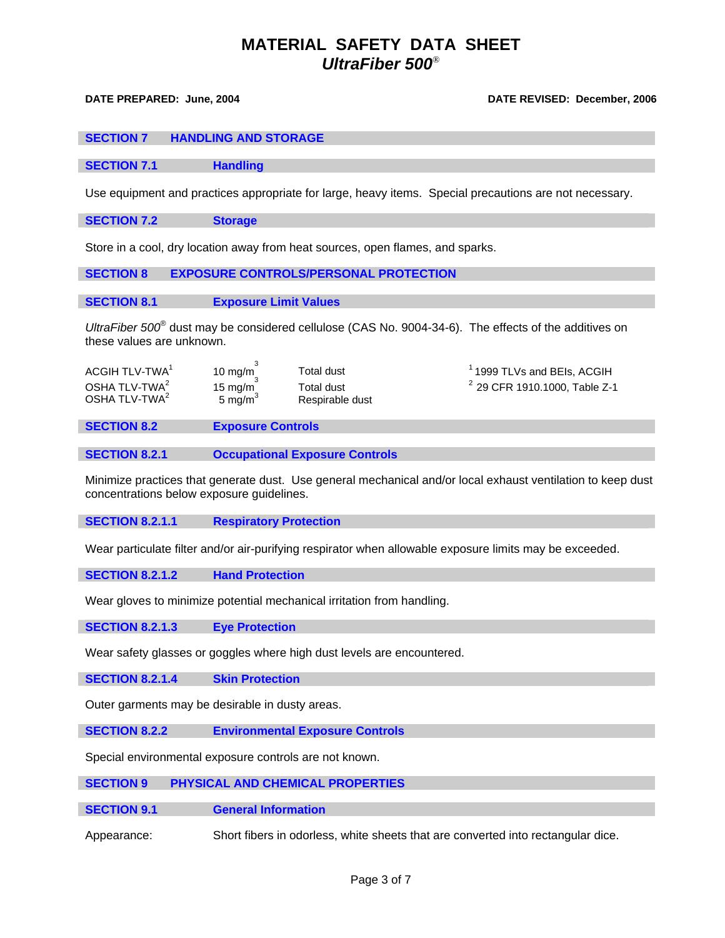### **DATE PREPARED: June, 2004 DATE REVISED: December, 2006**

| <b>SECTION 7</b> | <b>HANDLING AND STORAGE</b> |
|------------------|-----------------------------|
|------------------|-----------------------------|

**SECTION 7.1** Handling

Use equipment and practices appropriate for large, heavy items. Special precautions are not necessary.

**SECTION 7.2 Storage**

Store in a cool, dry location away from heat sources, open flames, and sparks.

# **SECTION 8 EXPOSURE CONTROLS/PERSONAL PROTECTION**

## **SECTION 8.1 Exposure Limit Values**

*UltraFiber 500*® dust may be considered cellulose (CAS No. 9004-34-6). The effects of the additives on these values are unknown.

| ACGIH TLV-TWA <sup>1</sup> | 10 mg/m             | Total dust      | $^1$ 1999 TLVs and BEIs, ACGIH  |
|----------------------------|---------------------|-----------------|---------------------------------|
| OSHA TLV-TWA <sup>2</sup>  | 15 mg/m             | Total dust      | $2$ 29 CFR 1910.1000, Table Z-1 |
| OSHA TLV-TWA <sup>2</sup>  | 5 mg/m <sup>3</sup> | Respirable dust |                                 |

**SECTION 8.2 Exposure Controls**

**SECTION 8.2.1 Occupational Exposure Controls**

Minimize practices that generate dust. Use general mechanical and/or local exhaust ventilation to keep dust concentrations below exposure guidelines.

**SECTION 8.2.1.1 Respiratory Protection**

Wear particulate filter and/or air-purifying respirator when allowable exposure limits may be exceeded.

**SECTION 8.2.1.2 Hand Protection**

Wear gloves to minimize potential mechanical irritation from handling.

**SECTION 8.2.1.3 Eye Protection**

Wear safety glasses or goggles where high dust levels are encountered.

**SECTION 8.2.1.4 Skin Protection**

Outer garments may be desirable in dusty areas.

**SECTION 8.2.2 Environmental Exposure Controls** 

Special environmental exposure controls are not known.

# **SECTION 9 PHYSICAL AND CHEMICAL PROPERTIES**

### **SECTION 9.1 General Information**

Appearance: Short fibers in odorless, white sheets that are converted into rectangular dice.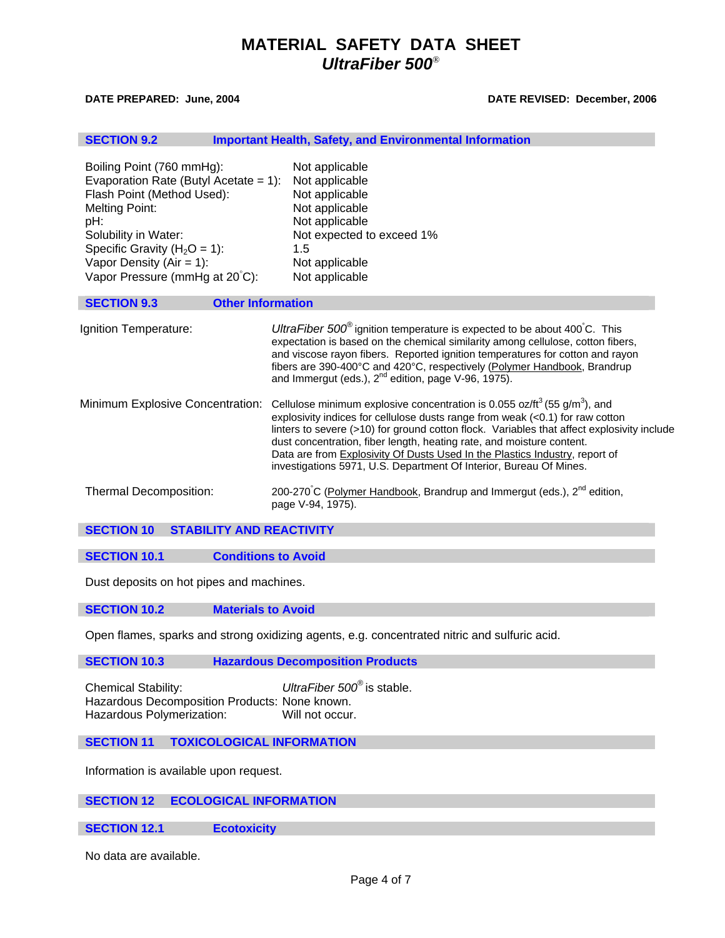### **DATE PREPARED: June, 2004 DATE REVISED: December, 2006**

| <b>SECTION 9.2</b>                                                                                                                                                                                                                                      |                          | <b>Important Health, Safety, and Environmental Information</b>                                                                                                                                                                                                                                                                                                                                                                                                                                         |  |
|---------------------------------------------------------------------------------------------------------------------------------------------------------------------------------------------------------------------------------------------------------|--------------------------|--------------------------------------------------------------------------------------------------------------------------------------------------------------------------------------------------------------------------------------------------------------------------------------------------------------------------------------------------------------------------------------------------------------------------------------------------------------------------------------------------------|--|
| Boiling Point (760 mmHg):<br>Evaporation Rate (Butyl Acetate = 1):<br>Flash Point (Method Used):<br>Melting Point:<br>pH:<br>Solubility in Water:<br>Specific Gravity ( $H_2O = 1$ ):<br>Vapor Density ( $Air = 1$ ):<br>Vapor Pressure (mmHg at 20°C): |                          | Not applicable<br>Not applicable<br>Not applicable<br>Not applicable<br>Not applicable<br>Not expected to exceed 1%<br>1.5<br>Not applicable<br>Not applicable                                                                                                                                                                                                                                                                                                                                         |  |
| <b>SECTION 9.3</b>                                                                                                                                                                                                                                      | <b>Other Information</b> |                                                                                                                                                                                                                                                                                                                                                                                                                                                                                                        |  |
| Ignition Temperature:                                                                                                                                                                                                                                   |                          | UltraFiber $500^\circ$ ignition temperature is expected to be about 400°C. This<br>expectation is based on the chemical similarity among cellulose, cotton fibers,<br>and viscose rayon fibers. Reported ignition temperatures for cotton and rayon<br>fibers are 390-400°C and 420°C, respectively (Polymer Handbook, Brandrup<br>and Immergut (eds.), $2^{nd}$ edition, page V-96, 1975).                                                                                                            |  |
| Minimum Explosive Concentration:                                                                                                                                                                                                                        |                          | Cellulose minimum explosive concentration is 0.055 oz/ $ft^3$ (55 g/m <sup>3</sup> ), and<br>explosivity indices for cellulose dusts range from weak (<0.1) for raw cotton<br>linters to severe (>10) for ground cotton flock. Variables that affect explosivity include<br>dust concentration, fiber length, heating rate, and moisture content.<br>Data are from Explosivity Of Dusts Used In the Plastics Industry, report of<br>investigations 5971, U.S. Department Of Interior, Bureau Of Mines. |  |
| Thermal Decomposition:                                                                                                                                                                                                                                  |                          | 200-270°C (Polymer Handbook, Brandrup and Immergut (eds.), 2 <sup>nd</sup> edition,<br>page V-94, 1975).                                                                                                                                                                                                                                                                                                                                                                                               |  |

**SECTION 10 STABILITY AND REACTIVITY**

**SECTION 10.1** Conditions to Avoid

Dust deposits on hot pipes and machines.

**SECTION 10.2 Materials to Avoid**

Open flames, sparks and strong oxidizing agents, e.g. concentrated nitric and sulfuric acid.

**SECTION 10.3 Hazardous Decomposition Products**

Chemical Stability: *UltraFiber 500*® is stable. Hazardous Decomposition Products: None known. Hazardous Polymerization: Will not occur.

**SECTION 11 TOXICOLOGICAL INFORMATION**

Information is available upon request.

# **SECTION 12 ECOLOGICAL INFORMATION**

## **SECTION 12.1 Ecotoxicity**

No data are available.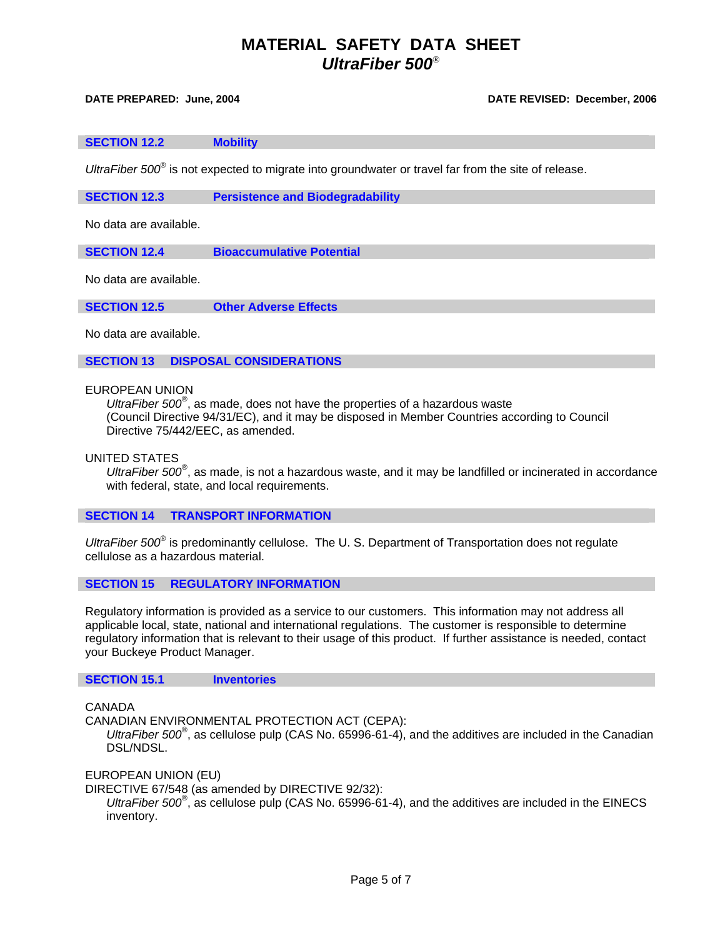#### **DATE PREPARED: June, 2004 DATE REVISED: December, 2006**

#### **SECTION 12.2 Mobility**

UltraFiber 500<sup>®</sup> is not expected to migrate into groundwater or travel far from the site of release.

**SECTION 12.3 Persistence and Biodegradability** 

No data are available.

**SECTION 12.4 Bioaccumulative Potential** 

No data are available.

**SECTION 12.5 Other Adverse Effects** 

No data are available.

**SECTION 13 DISPOSAL CONSIDERATIONS**

EUROPEAN UNION

*UltraFiber 500*® , as made, does not have the properties of a hazardous waste (Council Directive 94/31/EC), and it may be disposed in Member Countries according to Council Directive 75/442/EEC, as amended.

UNITED STATES

UltraFiber 500<sup>®</sup>, as made, is not a hazardous waste, and it may be landfilled or incinerated in accordance with federal, state, and local requirements.

### **SECTION 14 TRANSPORT INFORMATION**

UltraFiber 500<sup>®</sup> is predominantly cellulose. The U.S. Department of Transportation does not regulate cellulose as a hazardous material.

## **SECTION 15 REGULATORY INFORMATION**

Regulatory information is provided as a service to our customers. This information may not address all applicable local, state, national and international regulations. The customer is responsible to determine regulatory information that is relevant to their usage of this product. If further assistance is needed, contact your Buckeye Product Manager.

## **SECTION 15.1 Inventories**

CANADA

CANADIAN ENVIRONMENTAL PROTECTION ACT (CEPA):

UltraFiber 500<sup>®</sup>, as cellulose pulp (CAS No. 65996-61-4), and the additives are included in the Canadian DSL/NDSL.

EUROPEAN UNION (EU)

DIRECTIVE 67/548 (as amended by DIRECTIVE 92/32):

UltraFiber 500<sup>®</sup>, as cellulose pulp (CAS No. 65996-61-4), and the additives are included in the EINECS inventory.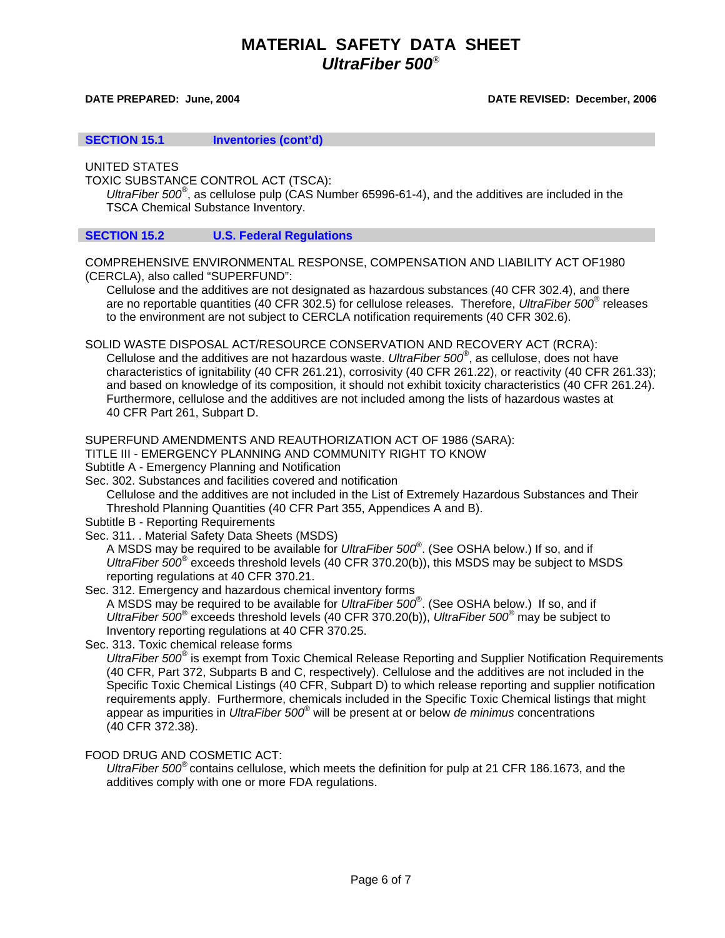### **DATE PREPARED: June, 2004 DATE REVISED: December, 2006**

**SECTION 15.1 Inventories (cont'd)**

UNITED STATES

TOXIC SUBSTANCE CONTROL ACT (TSCA):

UltraFiber 500<sup>®</sup>, as cellulose pulp (CAS Number 65996-61-4), and the additives are included in the TSCA Chemical Substance Inventory.

## **SECTION 15.2 U.S. Federal Regulations**

COMPREHENSIVE ENVIRONMENTAL RESPONSE, COMPENSATION AND LIABILITY ACT OF1980 (CERCLA), also called "SUPERFUND":

 Cellulose and the additives are not designated as hazardous substances (40 CFR 302.4), and there are no reportable quantities (40 CFR 302.5) for cellulose releases. Therefore, *UltraFiber 500*® releases to the environment are not subject to CERCLA notification requirements (40 CFR 302.6).

SOLID WASTE DISPOSAL ACT/RESOURCE CONSERVATION AND RECOVERY ACT (RCRA):

 Cellulose and the additives are not hazardous waste. *UltraFiber 500*® , as cellulose, does not have characteristics of ignitability (40 CFR 261.21), corrosivity (40 CFR 261.22), or reactivity (40 CFR 261.33); and based on knowledge of its composition, it should not exhibit toxicity characteristics (40 CFR 261.24). Furthermore, cellulose and the additives are not included among the lists of hazardous wastes at 40 CFR Part 261, Subpart D.

SUPERFUND AMENDMENTS AND REAUTHORIZATION ACT OF 1986 (SARA):

TITLE III - EMERGENCY PLANNING AND COMMUNITY RIGHT TO KNOW

Subtitle A - Emergency Planning and Notification

Sec. 302. Substances and facilities covered and notification

 Cellulose and the additives are not included in the List of Extremely Hazardous Substances and Their Threshold Planning Quantities (40 CFR Part 355, Appendices A and B).

Subtitle B - Reporting Requirements

Sec. 311. . Material Safety Data Sheets (MSDS)

 A MSDS may be required to be available for *UltraFiber 500*® . (See OSHA below.) If so, and if *UltraFiber 500*® exceeds threshold levels (40 CFR 370.20(b)), this MSDS may be subject to MSDS reporting regulations at 40 CFR 370.21.

Sec. 312. Emergency and hazardous chemical inventory forms

 A MSDS may be required to be available for *UltraFiber 500*® . (See OSHA below.) If so, and if *UltraFiber 500*® exceeds threshold levels (40 CFR 370.20(b)), *UltraFiber 500*® may be subject to Inventory reporting regulations at 40 CFR 370.25.

Sec. 313. Toxic chemical release forms

*UltraFiber 500*® is exempt from Toxic Chemical Release Reporting and Supplier Notification Requirements (40 CFR, Part 372, Subparts B and C, respectively). Cellulose and the additives are not included in the Specific Toxic Chemical Listings (40 CFR, Subpart D) to which release reporting and supplier notification requirements apply. Furthermore, chemicals included in the Specific Toxic Chemical listings that might appear as impurities in *UltraFiber 500*® will be present at or below *de minimus* concentrations (40 CFR 372.38).

# FOOD DRUG AND COSMETIC ACT:

 *UltraFiber 500*® contains cellulose, which meets the definition for pulp at 21 CFR 186.1673, and the additives comply with one or more FDA regulations.